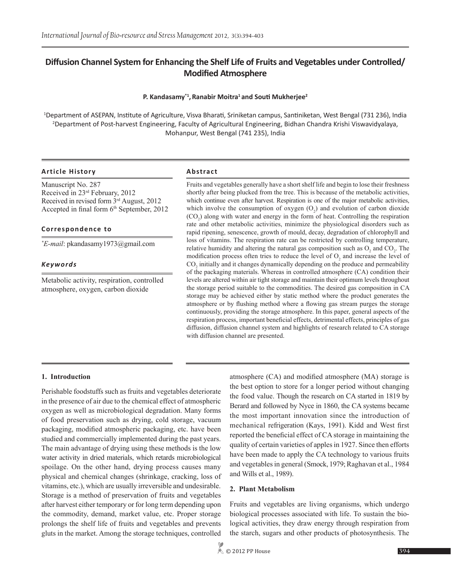# **Diffusion Channel System for Enhancing the Shelf Life of Fruits and Vegetables under Controlled/ Modified Atmosphere**

## **P. Kandasamy\*1,Ranabir Moitra1 and Souti Mukherjee<sup>2</sup>**

1 Department of ASEPAN, Institute of Agriculture, Visva Bharati, Sriniketan campus, Santiniketan, West Bengal (731 236), India 2 Department of Post-harvest Engineering, Faculty of Agricultural Engineering, Bidhan Chandra Krishi Viswavidyalaya, Mohanpur, West Bengal (741 235), India

## **Article History Abstract**

Manuscript No. 287 Received in 23rd February, 2012 Received in revised form 3rd August, 2012 Accepted in final form  $6<sup>th</sup>$  September, 2012

## **Correspondence to**

*\* E-mail*: pkandasamy1973@gmail.com

## *Keywords*

Metabolic activity, respiration, controlled atmosphere, oxygen, carbon dioxide

Fruits and vegetables generally have a short shelf life and begin to lose their freshness shortly after being plucked from the tree. This is because of the metabolic activities, which continue even after harvest. Respiration is one of the major metabolic activities, which involve the consumption of oxygen  $(O_2)$  and evolution of carbon dioxide  $(CO<sub>2</sub>)$  along with water and energy in the form of heat. Controlling the respiration rate and other metabolic activities, minimize the physiological disorders such as rapid ripening, senescence, growth of mould, decay, degradation of chlorophyll and loss of vitamins. The respiration rate can be restricted by controlling temperature, relative humidity and altering the natural gas composition such as  $O_2$  and  $CO_2$ . The modification process often tries to reduce the level of  $O_2$  and increase the level of  $CO<sub>2</sub>$  initially and it changes dynamically depending on the produce and permeability of the packaging materials. Whereas in controlled atmosphere (CA) condition their levels are altered within air tight storage and maintain their optimum levels throughout the storage period suitable to the commodities. The desired gas composition in CA storage may be achieved either by static method where the product generates the atmosphere or by flushing method where a flowing gas stream purges the storage continuously, providing the storage atmosphere. In this paper, general aspects of the respiration process, important beneficial effects, detrimental effects, principles of gas diffusion, diffusion channel system and highlights of research related to CA storage with diffusion channel are presented.

## **1. Introduction**

Perishable foodstuffs such as fruits and vegetables deteriorate in the presence of air due to the chemical effect of atmospheric oxygen as well as microbiological degradation. Many forms of food preservation such as drying, cold storage, vacuum packaging, modified atmospheric packaging, etc. have been studied and commercially implemented during the past years. The main advantage of drying using these methods is the low water activity in dried materials, which retards microbiological spoilage. On the other hand, drying process causes many physical and chemical changes (shrinkage, cracking, loss of vitamins, etc.), which are usually irreversible and undesirable. Storage is a method of preservation of fruits and vegetables after harvest either temporary or for long term depending upon the commodity, demand, market value, etc. Proper storage prolongs the shelf life of fruits and vegetables and prevents gluts in the market. Among the storage techniques, controlled

atmosphere (CA) and modified atmosphere (MA) storage is the best option to store for a longer period without changing the food value. Though the research on CA started in 1819 by Berard and followed by Nyce in 1860, the CA systems became the most important innovation since the introduction of mechanical refrigeration (Kays, 1991). Kidd and West first reported the beneficial effect of CA storage in maintaining the quality of certain varieties of apples in 1927. Since then efforts have been made to apply the CA technology to various fruits and vegetables in general (Smock, 1979; Raghavan et al., 1984 and Wills et al., 1989).

## **2. Plant Metabolism**

Fruits and vegetables are living organisms, which undergo biological processes associated with life. To sustain the biological activities, they draw energy through respiration from the starch, sugars and other products of photosynthesis. The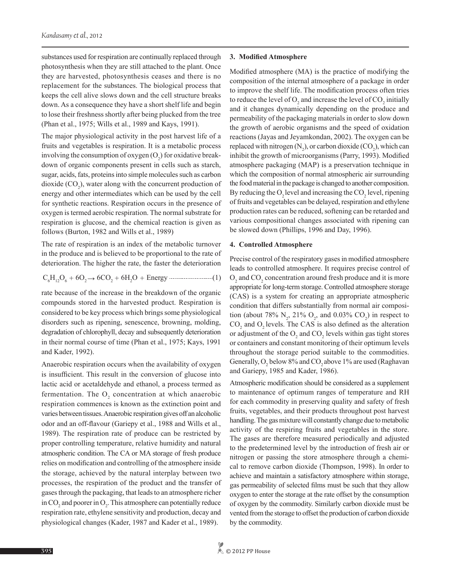substances used for respiration are continually replaced through photosynthesis when they are still attached to the plant. Once they are harvested, photosynthesis ceases and there is no replacement for the substances. The biological process that keeps the cell alive slows down and the cell structure breaks down. As a consequence they have a short shelf life and begin to lose their freshness shortly after being plucked from the tree (Phan et al., 1975; Wills et al., 1989 and Kays, 1991).

The major physiological activity in the post harvest life of a fruits and vegetables is respiration. It is a metabolic process involving the consumption of oxygen  $(O_2)$  for oxidative breakdown of organic components present in cells such as starch, sugar, acids, fats, proteins into simple molecules such as carbon dioxide  $(CO_2)$ , water along with the concurrent production of energy and other intermediates which can be used by the cell for synthetic reactions. Respiration occurs in the presence of oxygen is termed aerobic respiration. The normal substrate for respiration is glucose, and the chemical reaction is given as follows (Burton, 1982 and Wills et al., 1989)

The rate of respiration is an index of the metabolic turnover in the produce and is believed to be proportional to the rate of deterioration. The higher the rate, the faster the deterioration

$$
C_6H_{12}O_6 + 6O_2 \rightarrow 6CO_2 + 6H_2O + Energy
$$

rate because of the increase in the breakdown of the organic compounds stored in the harvested product. Respiration is considered to be key process which brings some physiological disorders such as ripening, senescence, browning, molding, degradation of chlorophyll, decay and subsequently deterioration in their normal course of time (Phan et al., 1975; Kays, 1991 and Kader, 1992).

Anaerobic respiration occurs when the availability of oxygen is insufficient. This result in the conversion of glucose into lactic acid or acetaldehyde and ethanol, a process termed as fermentation. The  $O_2$  concentration at which anaerobic respiration commences is known as the extinction point and varies between tissues. Anaerobic respiration gives off an alcoholic odor and an off-flavour (Gariepy et al., 1988 and Wills et al., 1989). The respiration rate of produce can be restricted by proper controlling temperature, relative humidity and natural atmospheric condition. The CA or MA storage of fresh produce relies on modification and controlling of the atmosphere inside the storage, achieved by the natural interplay between two processes, the respiration of the product and the transfer of gases through the packaging, that leads to an atmosphere richer in  $CO_2$  and poorer in  $O_2$ . This atmosphere can potentially reduce respiration rate, ethylene sensitivity and production, decay and physiological changes (Kader, 1987 and Kader et al., 1989).

#### **3. Modified Atmosphere**

Modified atmosphere (MA) is the practice of modifying the composition of the internal atmosphere of a package in order to improve the shelf life. The modification process often tries to reduce the level of  $O_2$  and increase the level of  $CO_2$  initially and it changes dynamically depending on the produce and permeability of the packaging materials in order to slow down the growth of aerobic organisms and the speed of oxidation reactions (Jayas and Jeyamkondan, 2002). The oxygen can be replaced with nitrogen  $(N_2)$ , or carbon dioxide  $(CO_2)$ , which can inhibit the growth of microorganisms (Parry, 1993). Modified atmosphere packaging (MAP) is a preservation technique in which the composition of normal atmospheric air surrounding the food material in the package is changed to another composition. By reducing the  $O_2$  level and increasing the  $CO_2$  level, ripening of fruits and vegetables can be delayed, respiration and ethylene production rates can be reduced, softening can be retarded and various compositional changes associated with ripening can be slowed down (Phillips, 1996 and Day, 1996).

#### **4. Controlled Atmosphere**

Precise control of the respiratory gases in modified atmosphere leads to controlled atmosphere. It requires precise control of  $O_2$  and  $CO_2$  concentration around fresh produce and it is more appropriate for long-term storage. Controlled atmosphere storage (CAS) is a system for creating an appropriate atmospheric condition that differs substantially from normal air composition (about 78%  $N_2$ , 21%  $O_2$ , and 0.03%  $CO_2$ ) in respect to  $CO<sub>2</sub>$  and  $O<sub>2</sub>$  levels. The CAS is also defined as the alteration or adjustment of the  $O_2$  and  $CO_2$  levels within gas tight stores or containers and constant monitoring of their optimum levels throughout the storage period suitable to the commodities. Generally,  $O_2$  below 8% and  $CO_2$  above 1% are used (Raghavan and Gariepy, 1985 and Kader, 1986).

Atmospheric modification should be considered as a supplement to maintenance of optimum ranges of temperature and RH for each commodity in preserving quality and safety of fresh fruits, vegetables, and their products throughout post harvest handling. The gas mixture will constantly change due to metabolic activity of the respiring fruits and vegetables in the store. The gases are therefore measured periodically and adjusted to the predetermined level by the introduction of fresh air or nitrogen or passing the store atmosphere through a chemical to remove carbon dioxide (Thompson, 1998). In order to achieve and maintain a satisfactory atmosphere within storage, gas permeability of selected films must be such that they allow oxygen to enter the storage at the rate offset by the consumption of oxygen by the commodity. Similarly carbon dioxide must be vented from the storage to offset the production of carbon dioxide by the commodity.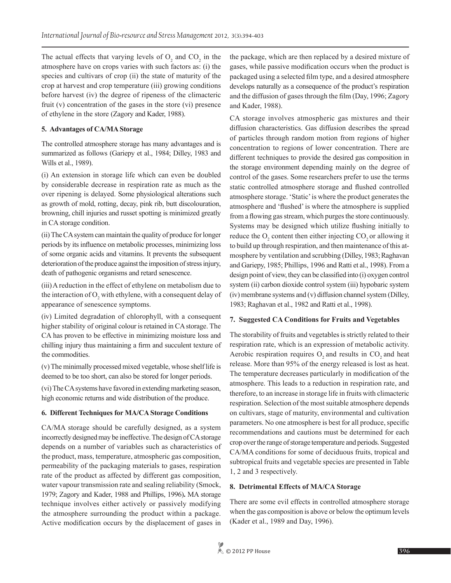The actual effects that varying levels of  $O_2$  and  $CO_2$  in the atmosphere have on crops varies with such factors as: (i) the species and cultivars of crop (ii) the state of maturity of the crop at harvest and crop temperature (iii) growing conditions before harvest (iv) the degree of ripeness of the climacteric fruit (v) concentration of the gases in the store (vi) presence of ethylene in the store (Zagory and Kader, 1988).

## **5. Advantages of CA/MA Storage**

The controlled atmosphere storage has many advantages and is summarized as follows (Gariepy et al., 1984; Dilley, 1983 and Wills et al., 1989).

(i) An extension in storage life which can even be doubled by considerable decrease in respiration rate as much as the over ripening is delayed. Some physiological alterations such as growth of mold, rotting, decay, pink rib, butt discolouration, browning, chill injuries and russet spotting is minimized greatly in CA storage condition.

(ii) The CA system can maintain the quality of produce for longer periods by its influence on metabolic processes, minimizing loss of some organic acids and vitamins. It prevents the subsequent deterioration of the produce against the imposition of stress injury, death of pathogenic organisms and retard senescence.

(iii) A reduction in the effect of ethylene on metabolism due to the interaction of  $O_2$  with ethylene, with a consequent delay of appearance of senescence symptoms.

(iv) Limited degradation of chlorophyll, with a consequent higher stability of original colour is retained in CA storage. The CA has proven to be effective in minimizing moisture loss and chilling injury thus maintaining a firm and succulent texture of the commodities.

(v) The minimally processed mixed vegetable, whose shelf life is deemed to be too short, can also be stored for longer periods.

(vi) The CA systems have favored in extending marketing season, high economic returns and wide distribution of the produce.

## **6. Different Techniques for MA/CA Storage Conditions**

CA/MA storage should be carefully designed, as a system incorrectly designed may be ineffective. The design of CA storage depends on a number of variables such as characteristics of the product, mass, temperature, atmospheric gas composition, permeability of the packaging materials to gases, respiration rate of the product as affected by different gas composition, water vapour transmission rate and sealing reliability (Smock, 1979; Zagory and Kader, 1988 and Phillips, 1996)**.** MA storage technique involves either actively or passively modifying the atmosphere surrounding the product within a package. Active modification occurs by the displacement of gases in

the package, which are then replaced by a desired mixture of gases, while passive modification occurs when the product is packaged using a selected film type, and a desired atmosphere develops naturally as a consequence of the product's respiration and the diffusion of gases through the film (Day, 1996; Zagory and Kader, 1988).

CA storage involves atmospheric gas mixtures and their diffusion characteristics. Gas diffusion describes the spread of particles through random motion from regions of higher concentration to regions of lower concentration. There are different techniques to provide the desired gas composition in the storage environment depending mainly on the degree of control of the gases. Some researchers prefer to use the terms static controlled atmosphere storage and flushed controlled atmosphere storage. 'Static' is where the product generates the atmosphere and 'flushed' is where the atmosphere is supplied from a flowing gas stream, which purges the store continuously. Systems may be designed which utilize flushing initially to reduce the  $O_2$  content then either injecting  $CO_2$  or allowing it to build up through respiration, and then maintenance of this atmosphere by ventilation and scrubbing (Dilley, 1983; Raghavan and Gariepy, 1985; Phillips, 1996 and Ratti et al., 1998). From a design point of view, they can be classified into (i) oxygen control system (ii) carbon dioxide control system (iii) hypobaric system (iv) membrane systems and (v) diffusion channel system (Dilley, 1983; Raghavan et al., 1982 and Ratti et al., 1998).

## **7. Suggested CA Conditions for Fruits and Vegetables**

The storability of fruits and vegetables is strictly related to their respiration rate, which is an expression of metabolic activity. Aerobic respiration requires  $O$ , and results in  $CO$ , and heat release. More than 95% of the energy released is lost as heat. The temperature decreases particularly in modification of the atmosphere. This leads to a reduction in respiration rate, and therefore, to an increase in storage life in fruits with climacteric respiration. Selection of the most suitable atmosphere depends on cultivars, stage of maturity, environmental and cultivation parameters. No one atmosphere is best for all produce, specific recommendations and cautions must be determined for each crop over the range of storage temperature and periods. Suggested CA/MA conditions for some of deciduous fruits, tropical and subtropical fruits and vegetable species are presented in Table 1, 2 and 3 respectively.

## **8. Detrimental Effects of MA/CA Storage**

There are some evil effects in controlled atmosphere storage when the gas composition is above or below the optimum levels (Kader et al., 1989 and Day, 1996).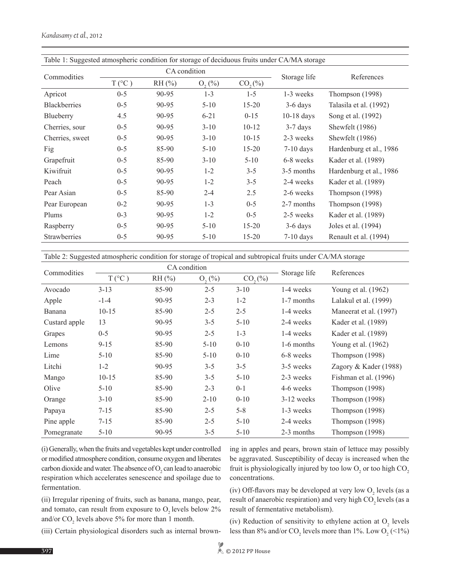| Table 1: Suggested atmospheric condition for storage of deciduous fruits under CA/MA storage |                |       |             |             |              |                         |
|----------------------------------------------------------------------------------------------|----------------|-------|-------------|-------------|--------------|-------------------------|
| Commodities                                                                                  | CA condition   |       |             |             | Storage life | References              |
|                                                                                              | $T(^{\circ}C)$ | RH(%) | $O_{2}(\%)$ | $CO_{2}(%)$ |              |                         |
| Apricot                                                                                      | $0 - 5$        | 90-95 | $1 - 3$     | $1 - 5$     | 1-3 weeks    | Thompson (1998)         |
| <b>Blackberries</b>                                                                          | $0 - 5$        | 90-95 | $5-10$      | $15 - 20$   | $3-6$ days   | Talasila et al. (1992)  |
| Blueberry                                                                                    | 4.5            | 90-95 | $6 - 21$    | $0 - 15$    | $10-18$ days | Song et al. (1992)      |
| Cherries, sour                                                                               | $0 - 5$        | 90-95 | $3-10$      | $10-12$     | $3-7$ days   | Shewfelt (1986)         |
| Cherries, sweet                                                                              | $0 - 5$        | 90-95 | $3-10$      | $10-15$     | 2-3 weeks    | Shewfelt (1986)         |
| Fig                                                                                          | $0 - 5$        | 85-90 | $5 - 10$    | $15 - 20$   | $7-10$ days  | Hardenburg et al., 1986 |
| Grapefruit                                                                                   | $0 - 5$        | 85-90 | $3 - 10$    | $5 - 10$    | 6-8 weeks    | Kader et al. (1989)     |
| Kiwifruit                                                                                    | $0 - 5$        | 90-95 | $1 - 2$     | $3 - 5$     | 3-5 months   | Hardenburg et al., 1986 |
| Peach                                                                                        | $0 - 5$        | 90-95 | $1 - 2$     | $3 - 5$     | 2-4 weeks    | Kader et al. (1989)     |
| Pear Asian                                                                                   | $0 - 5$        | 85-90 | $2 - 4$     | 2.5         | 2-6 weeks    | Thompson (1998)         |
| Pear European                                                                                | $0 - 2$        | 90-95 | $1 - 3$     | $0 - 5$     | 2-7 months   | Thompson $(1998)$       |
| Plums                                                                                        | $0 - 3$        | 90-95 | $1 - 2$     | $0 - 5$     | 2-5 weeks    | Kader et al. (1989)     |
| Raspberry                                                                                    | $0 - 5$        | 90-95 | $5 - 10$    | $15 - 20$   | $3-6$ days   | Joles et al. (1994)     |
| Strawberries                                                                                 | $0 - 5$        | 90-95 | $5-10$      | $15 - 20$   | $7-10$ days  | Renault et al. (1994)   |

Table 2: Suggested atmospheric condition for storage of tropical and subtropical fruits under CA/MA storage

| Commodities   |                | CA condition | Storage life | References  |              |                         |
|---------------|----------------|--------------|--------------|-------------|--------------|-------------------------|
|               | $T(^{\circ}C)$ | $RH$ (%)     | $O_{2}(%)$   | $CO_{2}(%)$ |              |                         |
| Avocado       | $3-13$         | 85-90        | $2 - 5$      | $3 - 10$    | 1-4 weeks    | Young et al. $(1962)$   |
| Apple         | $-1-4$         | 90-95        | $2 - 3$      | $1 - 2$     | 1-7 months   | Lalakul et al. (1999)   |
| Banana        | $10 - 15$      | 85-90        | $2 - 5$      | $2 - 5$     | 1-4 weeks    | Maneerat et al. (1997)  |
| Custard apple | 13             | 90-95        | $3 - 5$      | $5-10$      | 2-4 weeks    | Kader et al. (1989)     |
| Grapes        | $0 - 5$        | 90-95        | $2 - 5$      | $1 - 3$     | 1-4 weeks    | Kader et al. (1989)     |
| Lemons        | $9 - 15$       | 85-90        | $5 - 10$     | $0 - 10$    | 1-6 months   | Young et al. (1962)     |
| Lime          | $5 - 10$       | 85-90        | $5 - 10$     | $0 - 10$    | 6-8 weeks    | Thompson $(1998)$       |
| Litchi        | $1 - 2$        | 90-95        | $3 - 5$      | $3 - 5$     | 3-5 weeks    | Zagory & Kader $(1988)$ |
| Mango         | $10 - 15$      | 85-90        | $3 - 5$      | $5 - 10$    | 2-3 weeks    | Fishman et al. (1996)   |
| Olive         | $5 - 10$       | 85-90        | $2 - 3$      | $0 - 1$     | 4-6 weeks    | Thompson $(1998)$       |
| Orange        | $3 - 10$       | 85-90        | $2 - 10$     | $0 - 10$    | $3-12$ weeks | Thompson $(1998)$       |
| Papaya        | $7 - 15$       | 85-90        | $2 - 5$      | $5 - 8$     | 1-3 weeks    | Thompson $(1998)$       |
| Pine apple    | $7 - 15$       | 85-90        | $2 - 5$      | $5 - 10$    | 2-4 weeks    | Thompson $(1998)$       |
| Pomegranate   | $5 - 10$       | 90-95        | $3 - 5$      | $5 - 10$    | 2-3 months   | Thompson $(1998)$       |

(i) Generally, when the fruits and vegetables kept under controlled or modified atmosphere condition, consume oxygen and liberates carbon dioxide and water. The absence of  $O_2$  can lead to anaerobic respiration which accelerates senescence and spoilage due to fermentation.

(ii) Irregular ripening of fruits, such as banana, mango, pear, and tomato, can result from exposure to  $O$ , levels below  $2\%$ and/or  $CO_2$  levels above 5% for more than 1 month.

ing in apples and pears, brown stain of lettuce may possibly be aggravated. Susceptibility of decay is increased when the fruit is physiologically injured by too low  $O_2$  or too high  $CO_2$ concentrations.

(iv) Off-flavors may be developed at very low  $O_2$  levels (as a result of anaerobic respiration) and very high CO<sub>2</sub> levels (as a result of fermentative metabolism).

(iii) Certain physiological disorders such as internal brown-

(iv) Reduction of sensitivity to ethylene action at  $O_2$  levels less than 8% and/or  $CO_2$  levels more than 1%. Low  $O_2$  (<1%)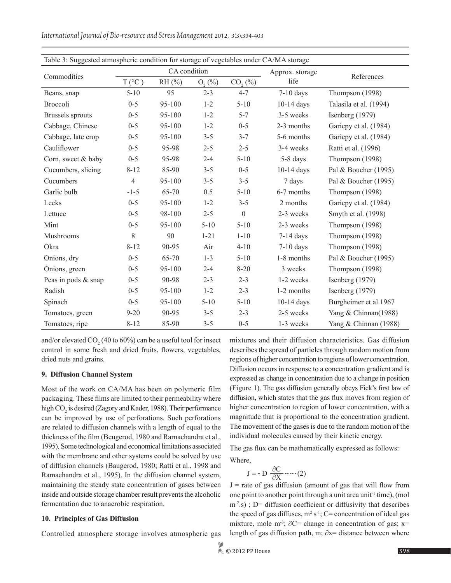| Table 3: Suggested atmospheric condition for storage of vegetables under CA/MA storage |                |              |             |                  |              |                        |  |
|----------------------------------------------------------------------------------------|----------------|--------------|-------------|------------------|--------------|------------------------|--|
|                                                                                        |                | CA condition |             | Approx. storage  |              |                        |  |
| Commodities                                                                            | $T(^{\circ}C)$ | $RH$ $(\% )$ | $O_{2}$ (%) | CO, (%)          | life         | References             |  |
| Beans, snap                                                                            | $5 - 10$       | 95           | $2 - 3$     | $4 - 7$          | $7-10$ days  | Thompson (1998)        |  |
| <b>Broccoli</b>                                                                        | $0 - 5$        | 95-100       | $1 - 2$     | $5 - 10$         | $10-14$ days | Talasila et al. (1994) |  |
| <b>Brussels</b> sprouts                                                                | $0 - 5$        | 95-100       | $1 - 2$     | $5 - 7$          | 3-5 weeks    | Isenberg $(1979)$      |  |
| Cabbage, Chinese                                                                       | $0 - 5$        | 95-100       | $1 - 2$     | $0 - 5$          | 2-3 months   | Gariepy et al. (1984)  |  |
| Cabbage, late crop                                                                     | $0 - 5$        | 95-100       | $3 - 5$     | $3 - 7$          | 5-6 months   | Gariepy et al. (1984)  |  |
| Cauliflower                                                                            | $0 - 5$        | 95-98        | $2 - 5$     | $2 - 5$          | 3-4 weeks    | Ratti et al. (1996)    |  |
| Corn, sweet & baby                                                                     | $0 - 5$        | 95-98        | $2 - 4$     | $5 - 10$         | 5-8 days     | Thompson (1998)        |  |
| Cucumbers, slicing                                                                     | $8 - 12$       | 85-90        | $3 - 5$     | $0 - 5$          | $10-14$ days | Pal & Boucher (1995)   |  |
| Cucumbers                                                                              | $\overline{4}$ | 95-100       | $3 - 5$     | $3 - 5$          | 7 days       | Pal & Boucher $(1995)$ |  |
| Garlic bulb                                                                            | $-1-5$         | 65-70        | 0.5         | $5 - 10$         | 6-7 months   | Thompson (1998)        |  |
| Leeks                                                                                  | $0 - 5$        | 95-100       | $1 - 2$     | $3 - 5$          | 2 months     | Gariepy et al. (1984)  |  |
| Lettuce                                                                                | $0 - 5$        | 98-100       | $2 - 5$     | $\boldsymbol{0}$ | 2-3 weeks    | Smyth et al. (1998)    |  |
| Mint                                                                                   | $0 - 5$        | 95-100       | $5 - 10$    | $5 - 10$         | 2-3 weeks    | Thompson (1998)        |  |
| Mushrooms                                                                              | 8              | 90           | $1 - 21$    | $1 - 10$         | $7-14$ days  | Thompson (1998)        |  |
| Okra                                                                                   | $8 - 12$       | 90-95        | Air         | $4 - 10$         | $7-10$ days  | Thompson (1998)        |  |
| Onions, dry                                                                            | $0 - 5$        | 65-70        | $1 - 3$     | $5 - 10$         | 1-8 months   | Pal & Boucher (1995)   |  |
| Onions, green                                                                          | $0 - 5$        | 95-100       | $2 - 4$     | $8 - 20$         | 3 weeks      | Thompson (1998)        |  |
| Peas in pods & snap                                                                    | $0 - 5$        | 90-98        | $2 - 3$     | $2 - 3$          | 1-2 weeks    | Isenberg (1979)        |  |
| Radish                                                                                 | $0 - 5$        | 95-100       | $1 - 2$     | $2 - 3$          | 1-2 months   | Isenberg (1979)        |  |
| Spinach                                                                                | $0 - 5$        | 95-100       | $5 - 10$    | $5 - 10$         | $10-14$ days | Burgheimer et al.1967  |  |
| Tomatoes, green                                                                        | $9 - 20$       | 90-95        | $3 - 5$     | $2 - 3$          | 2-5 weeks    | Yang & Chinnan(1988)   |  |
| Tomatoes, ripe                                                                         | $8 - 12$       | 85-90        | $3 - 5$     | $0 - 5$          | 1-3 weeks    | Yang & Chinnan (1988)  |  |

*International Journal of Bio-resource and Stress Management* 2012, 3(3):394-403

and/or elevated  $CO_2$  (40 to 60%) can be a useful tool for insect control in some fresh and dried fruits, flowers, vegetables, dried nuts and grains.

### **9. Diffusion Channel System**

Most of the work on CA/MA has been on polymeric film packaging. These films are limited to their permeability where high  $CO<sub>2</sub>$  is desired (Zagory and Kader, 1988). Their performance can be improved by use of perforations. Such perforations are related to diffusion channels with a length of equal to the thickness of the film (Beugerod, 1980 and Rarnachandra et al., 1995). Some technological and economical limitations associated with the membrane and other systems could be solved by use of diffusion channels (Baugerod, 1980; Ratti et al., 1998 and Ramachandra et al., 1995). In the diffusion channel system, maintaining the steady state concentration of gases between inside and outside storage chamber result prevents the alcoholic fermentation due to anaerobic respiration.

### **10. Principles of Gas Diffusion**

Controlled atmosphere storage involves atmospheric gas

mixtures and their diffusion characteristics. Gas diffusion describes the spread of particles through random motion from regions of higher concentration to regions of lower concentration. Diffusion occurs in response to a concentration gradient and is expressed as change in concentration due to a change in position (Figure 1). The gas diffusion generally obeys Fick's first law of diffusion**,** which states that the gas flux moves from region of higher concentration to region of lower concentration, with a magnitude that is proportional to the concentration gradient. The movement of the gases is due to the random motion of the individual molecules caused by their kinetic energy.

The gas flux can be mathematically expressed as follows: Where

$$
J = -D \frac{\partial C}{\partial X} \cdots (2)
$$

 $J =$  rate of gas diffusion (amount of gas that will flow from one point to another point through a unit area unit<sup>-1</sup> time), (mol  $m<sup>2</sup>$ .s); D= diffusion coefficient or diffusivity that describes the speed of gas diffuses,  $m^2 s^{-1}$ ; C= concentration of ideal gas mixture, mole m<sup>-3</sup>;  $\partial C$ = change in concentration of gas; x= length of gas diffusion path, m; ∂x= distance between where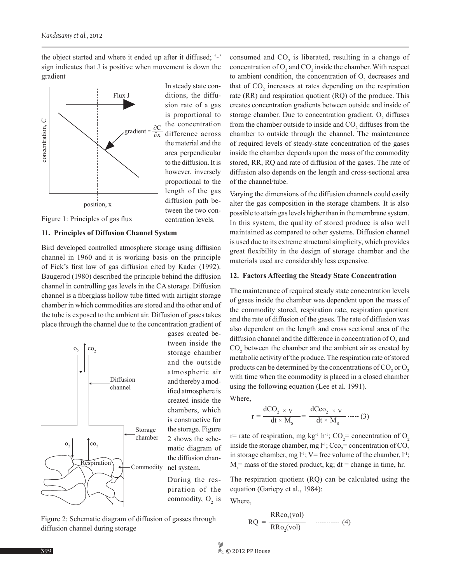the object started and where it ended up after it diffused; '-' sign indicates that J is positive when movement is down the gradient



Figure 1: Principles of gas flux

#### **11. Principles of Diffusion Channel System**

Bird developed controlled atmosphere storage using diffusion channel in 1960 and it is working basis on the principle of Fick's first law of gas diffusion cited by Kader (1992). Baugerod (1980) described the principle behind the diffusion channel in controlling gas levels in the CA storage. Diffusion channel is a fiberglass hollow tube fitted with airtight storage chamber in which commodities are stored and the other end of the tube is exposed to the ambient air. Diffusion of gases takes place through the channel due to the concentration gradient of



gases created between inside the storage chamber and the outside atmospheric air and thereby a modified atmosphere is created inside the chambers, which is constructive for the storage. Figure 2 shows the schematic diagram of the diffusion channel system.

During the respiration of the commodity,  $O_2$  is

Figure 2: Schematic diagram of diffusion of gasses through diffusion channel during storage

consumed and  $CO<sub>2</sub>$  is liberated, resulting in a change of concentration of  $O_2$  and  $CO_2$  inside the chamber. With respect to ambient condition, the concentration of  $O_2$  decreases and that of  $CO_2$  increases at rates depending on the respiration rate (RR) and respiration quotient (RQ) of the produce. This creates concentration gradients between outside and inside of storage chamber. Due to concentration gradient,  $O_2$  diffuses from the chamber outside to inside and  $CO<sub>2</sub>$  diffuses from the chamber to outside through the channel. The maintenance of required levels of steady-state concentration of the gases inside the chamber depends upon the mass of the commodity stored, RR, RQ and rate of diffusion of the gases. The rate of diffusion also depends on the length and cross-sectional area of the channel/tube.

Varying the dimensions of the diffusion channels could easily alter the gas composition in the storage chambers. It is also possible to attain gas levels higher than in the membrane system. In this system, the quality of stored produce is also well maintained as compared to other systems. Diffusion channel is used due to its extreme structural simplicity, which provides great flexibility in the design of storage chamber and the materials used are considerably less expensive.

#### **12. Factors Affecting the Steady State Concentration**

The maintenance of required steady state concentration levels of gases inside the chamber was dependent upon the mass of the commodity stored, respiration rate, respiration quotient and the rate of diffusion of the gases. The rate of diffusion was also dependent on the length and cross sectional area of the diffusion channel and the difference in concentration of  $O_2$  and  $CO<sub>2</sub>$  between the chamber and the ambient air as created by metabolic activity of the produce. The respiration rate of stored products can be determined by the concentrations of  $\mathrm{CO}_2$  or  $\mathrm{O}_2$ with time when the commodity is placed in a closed chamber using the following equation (Lee et al. 1991).

Where,

$$
r = \frac{dCO_2 \times V}{dt \times M_s} = \frac{dCco_2 \times V}{dt \times M_s}
$$
 ......(3)

r= rate of respiration, mg kg<sup>-1</sup> h<sup>-1</sup>; CO<sub>2</sub>= concentration of O<sub>2</sub> inside the storage chamber, mg  $l^{-1}$ ; Cco<sub>2</sub> = concentration of CO<sub>2</sub> in storage chamber, mg  $l^{-1}$ ; V= free volume of the chamber,  $l^{-1}$ ;  $M_s$  = mass of the stored product, kg; dt = change in time, hr.

The respiration quotient (RQ) can be calculated using the equation (Gariepy et al., 1984):

Where,

$$
RQ = \frac{R R co_2 (vol)}{R Ro_2 (vol)}
$$
 (4)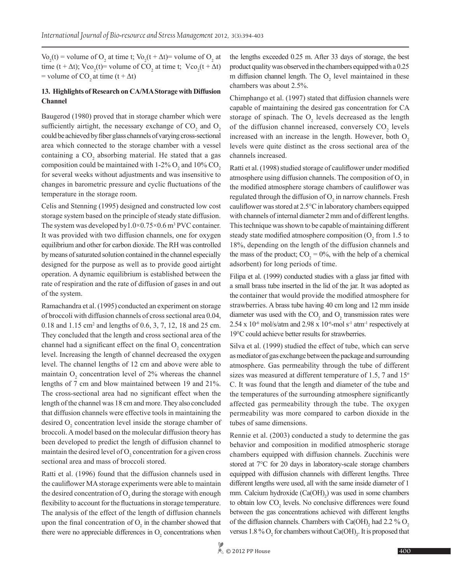Vo<sub>2</sub>(t) = volume of O<sub>2</sub> at time t; Vo<sub>2</sub>(t +  $\Delta t$ ) = volume of O<sub>2</sub> at time (t +  $\Delta t$ ); Vco<sub>2</sub>(t)= volume of CO<sub>2</sub> at time t; Vco<sub>2</sub>(t +  $\Delta t$ ) = volume of CO<sub>2</sub> at time  $(t + \Delta t)$ 

## **13. Highlights of Research on CA/MA Storage with Diffusion Channel**

Baugerod (1980) proved that in storage chamber which were sufficiently airtight, the necessary exchange of  $CO_2$  and  $O_2$ could be achieved by fiber glass channels of varying cross-sectional area which connected to the storage chamber with a vessel containing a  $CO<sub>2</sub>$  absorbing material. He stated that a gas composition could be maintained with  $1\text{-}2\% \text{ O}_2$  and  $10\%$  CO<sub>2</sub> for several weeks without adjustments and was insensitive to changes in barometric pressure and cyclic fluctuations of the temperature in the storage room.

Celis and Stenning (1995) designed and constructed low cost storage system based on the principle of steady state diffusion. The system was developed by  $1.0 \times 0.75 \times 0.6$  m<sup>3</sup> PVC container. It was provided with two diffusion channels, one for oxygen equilibrium and other for carbon dioxide. The RH was controlled by means of saturated solution contained in the channel especially designed for the purpose as well as to provide good airtight operation. A dynamic equilibrium is established between the rate of respiration and the rate of diffusion of gases in and out of the system.

Ramachandra et al. (1995) conducted an experiment on storage of broccoli with diffusion channels of cross sectional area 0.04, 0.18 and 1.15 cm<sup>2</sup> and lengths of 0.6, 3, 7, 12, 18 and 25 cm. They concluded that the length and cross sectional area of the channel had a significant effect on the final  $O_2$  concentration level. Increasing the length of channel decreased the oxygen level. The channel lengths of 12 cm and above were able to maintain  $O_2$  concentration level of 2% whereas the channel lengths of 7 cm and blow maintained between 19 and 21%. The cross-sectional area had no significant effect when the length of the channel was 18 cm and more. They also concluded that diffusion channels were effective tools in maintaining the desired  $O_2$  concentration level inside the storage chamber of broccoli. A model based on the molecular diffusion theory has been developed to predict the length of diffusion channel to maintain the desired level of  $O_2$  concentration for a given cross sectional area and mass of broccoli stored.

Ratti et al. (1996) found that the diffusion channels used in the cauliflower MA storage experiments were able to maintain the desired concentration of  $O_2$  during the storage with enough flexibility to account for the fluctuations in storage temperature. The analysis of the effect of the length of diffusion channels upon the final concentration of  $O_2$  in the chamber showed that there were no appreciable differences in  $O_2$  concentrations when the lengths exceeded 0.25 m. After 33 days of storage, the best product quality was observed in the chambers equipped with a 0.25 m diffusion channel length. The  $O_2$  level maintained in these chambers was about 2.5%.

Chimphango et al. (1997) stated that diffusion channels were capable of maintaining the desired gas concentration for CA storage of spinach. The  $O_2$  levels decreased as the length of the diffusion channel increased, conversely  $CO<sub>2</sub>$  levels increased with an increase in the length. However, both  $O<sub>2</sub>$ levels were quite distinct as the cross sectional area of the channels increased.

Ratti et al. (1998) studied storage of cauliflower under modified atmosphere using diffusion channels. The composition of  $O_2$  in the modified atmosphere storage chambers of cauliflower was regulated through the diffusion of  $O_2$  in narrow channels. Fresh cauliflower was stored at 2.5°C in laboratory chambers equipped with channels of internal diameter 2 mm and of different lengths. This technique was shown to be capable of maintaining different steady state modified atmosphere composition ( $O_2$  from 1.5 to 18%, depending on the length of the diffusion channels and the mass of the product;  $CO_2 = 0\%$ , with the help of a chemical adsorbent) for long periods of time.

Filipa et al. (1999) conducted studies with a glass jar fitted with a small brass tube inserted in the lid of the jar. It was adopted as the container that would provide the modified atmosphere for strawberries. A brass tube having 40 cm long and 12 mm inside diameter was used with the  $CO_2$  and  $O_2$  transmission rates were 2.54 x 10<sup>-6</sup> mol/s/atm and 2.98 x 10<sup>-6</sup>-mol s<sup>-1</sup> atm<sup>-1</sup> respectively at 19°C could achieve better results for strawberries.

Silva et al. (1999) studied the effect of tube, which can serve as mediator of gas exchange between the package and surrounding atmosphere. Gas permeability through the tube of different sizes was measured at different temperature of 1.5, 7 and  $15^{\circ}$ C. It was found that the length and diameter of the tube and the temperatures of the surrounding atmosphere significantly affected gas permeability through the tube. The oxygen permeability was more compared to carbon dioxide in the tubes of same dimensions.

Rennie et al. (2003) conducted a study to determine the gas behavior and composition in modified atmospheric storage chambers equipped with diffusion channels. Zucchinis were stored at 7°C for 20 days in laboratory-scale storage chambers equipped with diffusion channels with different lengths. Three different lengths were used, all with the same inside diameter of 1 mm. Calcium hydroxide  $(Ca(OH)_2)$  was used in some chambers to obtain low  $CO<sub>2</sub>$  levels. No conclusive differences were found between the gas concentrations achieved with different lengths of the diffusion channels. Chambers with  $Ca(OH)$ <sub>2</sub> had 2.2 %  $O_2$ versus 1.8 %  $O_2$  for chambers without  $Ca(OH)_2$ . It is proposed that

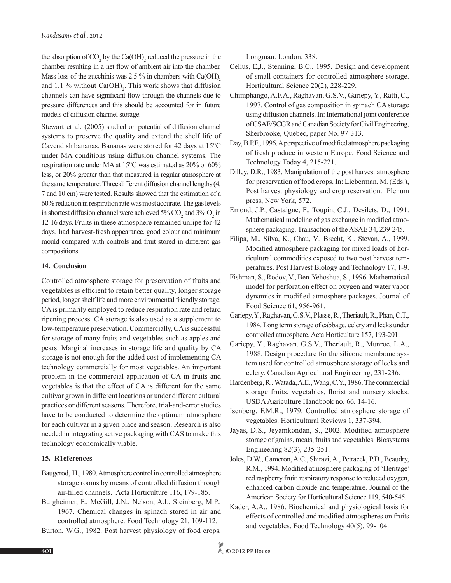the absorption of  $CO_2$  by the  $Ca(OH)_2$  reduced the pressure in the chamber resulting in a net flow of ambient air into the chamber. Mass loss of the zucchinis was  $2.5\%$  in chambers with Ca(OH), and 1.1 % without  $Ca(OH)_{2}$ . This work shows that diffusion channels can have significant flow through the channels due to pressure differences and this should be accounted for in future models of diffusion channel storage.

Stewart et al. (2005) studied on potential of diffusion channel systems to preserve the quality and extend the shelf life of Cavendish bananas. Bananas were stored for 42 days at 15°C under MA conditions using diffusion channel systems. The respiration rate under MA at 15°C was estimated as 20% or 60% less, or 20% greater than that measured in regular atmosphere at the same temperature. Three different diffusion channel lengths (4, 7 and 10 cm) were tested. Results showed that the estimation of a 60% reduction in respiration rate was most accurate. The gas levels in shortest diffusion channel were achieved  $5\%$  CO<sub>2</sub> and  $3\%$  O<sub>2</sub> in 12-16 days. Fruits in these atmosphere remained unripe for 42 days, had harvest-fresh appearance, good colour and minimum mould compared with controls and fruit stored in different gas compositions.

### **14. Conclusion**

Controlled atmosphere storage for preservation of fruits and vegetables is efficient to retain better quality, longer storage period, longer shelf life and more environmental friendly storage. CA is primarily employed to reduce respiration rate and retard ripening process. CA storage is also used as a supplement to low-temperature preservation. Commercially, CA is successful for storage of many fruits and vegetables such as apples and pears. Marginal increases in storage life and quality by CA storage is not enough for the added cost of implementing CA technology commercially for most vegetables. An important problem in the commercial application of CA in fruits and vegetables is that the effect of CA is different for the same cultivar grown in different locations or under different cultural practices or different seasons. Therefore, trial-and-error studies have to be conducted to determine the optimum atmosphere for each cultivar in a given place and season. Research is also needed in integrating active packaging with CAS to make this technology economically viable.

#### **15. R1eferences**

- Baugerod, H., 1980. Atmosphere control in controlled atmosphere storage rooms by means of controlled diffusion through air-filled channels. Acta Horticulture 116, 179-185.
- Burgheimer, F., McGill, J.N., Nelson, A.I., Steinberg, M.P., 1967. Chemical changes in spinach stored in air and controlled atmosphere. Food Technology 21, 109-112.
- Burton, W.G., 1982. Post harvest physiology of food crops.

Longman. London. 338.

- Celius, E,J., Stenning, B.C., 1995. Design and development of small containers for controlled atmosphere storage. Horticultural Science 20(2), 228-229.
- Chimphango, A.F.A., Raghavan, G.S.V., Gariepy, Y., Ratti, C., 1997. Control of gas composition in spinach CA storage using diffusion channels. In: International joint conference of CSAE/SCGR and Canadian Society for Civil Engineering, Sherbrooke, Quebec, paper No. 97-313.
- Day, B.P.F., 1996. A perspective of modified atmosphere packaging of fresh produce in western Europe. Food Science and Technology Today 4, 215-221.
- Dilley, D.R., 1983. Manipulation of the post harvest atmosphere for preservation of food crops. In: Lieberman, M. (Eds.), Post harvest physiology and crop reservation. Plenum press, New York, 572.
- Emond, J.P., Castaigne, F., Toupin, C.J., Desilets, D., 1991. Mathematical modeling of gas exchange in modified atmosphere packaging. Transaction of the ASAE 34, 239-245.
- Filipa, M., Silva, K., Chau, V., Brecht, K., Stevan, A., 1999. Modified atmosphere packaging for mixed loads of horticultural commodities exposed to two post harvest temperatures. Post Harvest Biology and Technology 17, 1-9.
- Fishman, S., Rodov, V., Ben-Yehoshua, S., 1996. Mathematical model for perforation effect on oxygen and water vapor dynamics in modified-atmosphere packages. Journal of Food Science 61, 956-961.
- Gariepy, Y., Raghavan, G.S.V., Plasse, R., Theriault, R., Phan, C.T., 1984. Long term storage of cabbage, celery and leeks under controlled atmosphere. Acta Horticulture 157, 193-201.
- Gariepy, Y., Raghavan, G.S.V., Theriault, R., Munroe, L.A., 1988. Design procedure for the silicone membrane system used for controlled atmosphere storage of leeks and celery. Canadian Agricultural Engineering, 231-236.
- Hardenberg, R., Watada, A.E., Wang, C.Y., 1986. The commercial storage fruits, vegetables, florist and nursery stocks. USDA Agriculture Handbook no. 66, 14-16.
- Isenberg, F.M.R., 1979. Controlled atmosphere storage of vegetables. Horticultural Reviews 1, 337-394.
- Jayas, D.S., Jeyamkondan, S., 2002. Modified atmosphere storage of grains, meats, fruits and vegetables. Biosystems Engineering 82(3), 235-251.
- Joles, D.W., Cameron, A.C., Shirazi, A., Petracek, P.D., Beaudry, R.M., 1994. Modified atmosphere packaging of 'Heritage' red raspberry fruit: respiratory response to reduced oxygen, enhanced carbon dioxide and temperature. Journal of the American Society for Horticultural Science 119, 540-545.
- Kader, A.A., 1986. Biochemical and physiological basis for effects of controlled and modified atmospheres on fruits and vegetables. Food Technology 40(5), 99-104.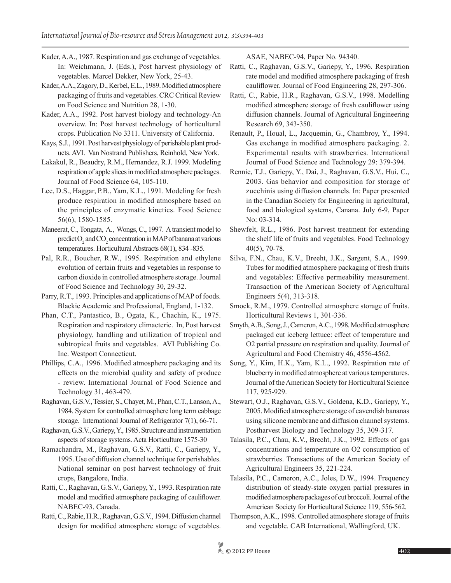- Kader, A.A., 1987. Respiration and gas exchange of vegetables. In: Weichmann, J. (Eds.), Post harvest physiology of vegetables. Marcel Dekker, New York, 25-43.
- Kader, A.A., Zagory, D., Kerbel, E.L., 1989. Modified atmosphere packaging of fruits and vegetables. CRC Critical Review on Food Science and Nutrition 28, 1-30.
- Kader, A.A., 1992. Post harvest biology and technology-An overview. In: Post harvest technology of horticultural crops. Publication No 3311. University of California.
- Kays, S.J., 1991. Post harvest physiology of perishable plant products. AVI. Van Nostrand Publishers, Reinhold, New York.
- Lakakul, R., Beaudry, R.M., Hernandez, R.J. 1999. Modeling respiration of apple slices in modified atmosphere packages. Journal of Food Science 64, 105-110.
- Lee, D.S., Haggar, P.B., Yam, K.L., 1991. Modeling for fresh produce respiration in modified atmosphere based on the principles of enzymatic kinetics. Food Science 56(6), 1580-1585.
- Maneerat, C., Tongata, A., Wongs, C., 1997. A transient model to  $predict O<sub>2</sub> and CO<sub>2</sub> concentration in MAP of banana at various$ temperatures. Horticultural Abstracts 68(1), 834 -835.
- Pal, R.R., Boucher, R.W., 1995. Respiration and ethylene evolution of certain fruits and vegetables in response to carbon dioxide in controlled atmosphere storage. Journal of Food Science and Technology 30, 29-32.
- Parry, R.T., 1993. Principles and applications of MAP of foods. Blackie Academic and Professional, England, 1-132.
- Phan, C.T., Pantastico, B., Ogata, K., Chachin, K., 1975. Respiration and respiratory climacteric. In, Post harvest physiology, handling and utilization of tropical and subtropical fruits and vegetables. AVI Publishing Co. Inc. Westport Connecticut.
- Phillips, C.A., 1996. Modified atmosphere packaging and its effects on the microbial quality and safety of produce - review. International Journal of Food Science and Technology 31, 463-479.
- Raghavan, G.S.V., Tessier, S., Chayet, M., Phan, C.T., Lanson, A., 1984. System for controlled atmosphere long term cabbage storage. International Journal of Refrigerator 7(1), 66-71.
- Raghavan, G.S.V., Gariepy, Y., 1985. Structure and instrumentation aspects of storage systems. Acta Horticulture 1575-30
- Ramachandra, M., Raghavan, G.S.V., Ratti, C., Gariepy, Y., 1995. Use of diffusion channel technique for perishables. National seminar on post harvest technology of fruit crops, Bangalore, India.
- Ratti, C., Raghavan, G.S.V., Gariepy, Y., 1993. Respiration rate model and modified atmosphere packaging of cauliflower. NABEC-93. Canada.
- Ratti, C., Rabie, H.R., Raghavan, G.S.V., 1994. Diffusion channel design for modified atmosphere storage of vegetables.

ASAE, NABEC-94, Paper No. 94340.

- Ratti, C., Raghavan, G.S.V., Gariepy, Y., 1996. Respiration rate model and modified atmosphere packaging of fresh cauliflower. Journal of Food Engineering 28, 297-306.
- Ratti, C., Rabie, H.R., Raghavan, G.S.V., 1998. Modelling modified atmosphere storage of fresh cauliflower using diffusion channels. Journal of Agricultural Engineering Research 69, 343-350.
- Renault, P., Houal, L., Jacquemin, G., Chambroy, Y., 1994. Gas exchange in modified atmosphere packaging. 2. Experimental results with strawberries. International Journal of Food Science and Technology 29: 379-394.
- Rennie, T.J., Gariepy, Y., Dai, J., Raghavan, G.S.V., Hui, C., 2003. Gas behavior and composition for storage of zucchinis using diffusion channels. In: Paper presented in the Canadian Society for Engineering in agricultural, food and biological systems, Canana. July 6-9, Paper No: 03-314.
- Shewfelt, R.L., 1986. Post harvest treatment for extending the shelf life of fruits and vegetables. Food Technology 40(5), 70-78.
- Silva, F.N., Chau, K.V., Breeht, J.K., Sargent, S.A., 1999. Tubes for modified atmosphere packaging of fresh fruits and vegetables: Effective permeability measurement. Transaction of the American Society of Agricultural Engineers 5(4), 313-318.
- Smock, R.M., 1979. Controlled atmosphere storage of fruits. Horticultural Reviews 1, 301-336.
- Smyth, A.B., Song, J., Cameron, A.C., 1998. Modified atmosphere packaged cut iceberg lettuce: effect of temperature and O2 partial pressure on respiration and quality. Journal of Agricultural and Food Chemistry 46, 4556-4562.
- Song, Y., Kim, H.K., Yam, K.L., 1992. Respiration rate of blueberry in modified atmosphere at various temperatures. Journal of the American Society for Horticultural Science 117, 925-929.
- Stewart, O.J., Raghavan, G.S.V., Goldena, K.D., Gariepy, Y., 2005. Modified atmosphere storage of cavendish bananas using silicone membrane and diffusion channel systems. Postharvest Biology and Technology 35, 309-317.
- Talasila, P.C., Chau, K.V., Brecht, J.K., 1992. Effects of gas concentrations and temperature on O2 consumption of strawberries. Transactions of the American Society of Agricultural Engineers 35, 221-224.
- Talasila, P.C., Cameron, A.C., Joles, D.W., 1994. Frequency distribution of steady-state oxygen partial pressures in modified atmosphere packages of cut broccoli. Journal of the American Society for Horticultural Science 119, 556-562.
- Thompson, A.K., 1998. Controlled atmosphere storage of fruits and vegetable. CAB International, Wallingford, UK.